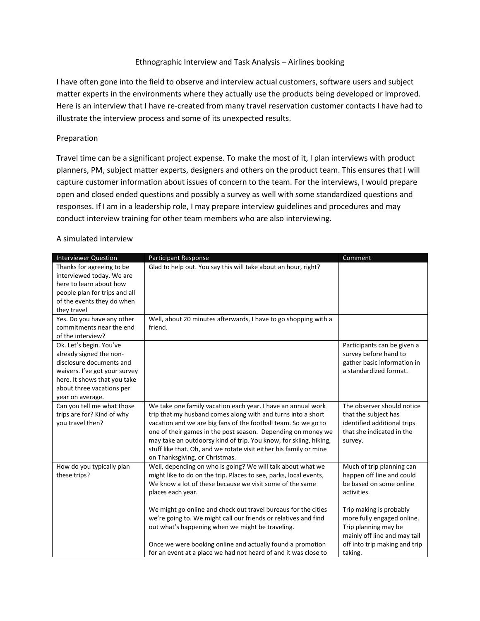## Ethnographic Interview and Task Analysis – Airlines booking

I have often gone into the field to observe and interview actual customers, software users and subject matter experts in the environments where they actually use the products being developed or improved. Here is an interview that I have re-created from many travel reservation customer contacts I have had to illustrate the interview process and some of its unexpected results.

## Preparation

Travel time can be a significant project expense. To make the most of it, I plan interviews with product planners, PM, subject matter experts, designers and others on the product team. This ensures that I will capture customer information about issues of concern to the team. For the interviews, I would prepare open and closed ended questions and possibly a survey as well with some standardized questions and responses. If I am in a leadership role, I may prepare interview guidelines and procedures and may conduct interview training for other team members who are also interviewing.

## A simulated interview

| <b>Interviewer Question</b>   | Participant Response                                               | Comment                       |
|-------------------------------|--------------------------------------------------------------------|-------------------------------|
| Thanks for agreeing to be     | Glad to help out. You say this will take about an hour, right?     |                               |
| interviewed today. We are     |                                                                    |                               |
| here to learn about how       |                                                                    |                               |
| people plan for trips and all |                                                                    |                               |
| of the events they do when    |                                                                    |                               |
| they travel                   |                                                                    |                               |
| Yes. Do you have any other    | Well, about 20 minutes afterwards, I have to go shopping with a    |                               |
| commitments near the end      | friend.                                                            |                               |
| of the interview?             |                                                                    |                               |
| Ok. Let's begin. You've       |                                                                    | Participants can be given a   |
| already signed the non-       |                                                                    | survey before hand to         |
| disclosure documents and      |                                                                    | gather basic information in   |
| waivers. I've got your survey |                                                                    | a standardized format.        |
| here. It shows that you take  |                                                                    |                               |
| about three vacations per     |                                                                    |                               |
| year on average.              |                                                                    |                               |
| Can you tell me what those    | We take one family vacation each year. I have an annual work       | The observer should notice    |
| trips are for? Kind of why    | trip that my husband comes along with and turns into a short       | that the subject has          |
| you travel then?              | vacation and we are big fans of the football team. So we go to     | identified additional trips   |
|                               | one of their games in the post season. Depending on money we       | that she indicated in the     |
|                               | may take an outdoorsy kind of trip. You know, for skiing, hiking,  | survey.                       |
|                               | stuff like that. Oh, and we rotate visit either his family or mine |                               |
|                               | on Thanksgiving, or Christmas.                                     |                               |
| How do you typically plan     | Well, depending on who is going? We will talk about what we        | Much of trip planning can     |
| these trips?                  | might like to do on the trip. Places to see, parks, local events,  | happen off line and could     |
|                               | We know a lot of these because we visit some of the same           | be based on some online       |
|                               | places each year.                                                  | activities.                   |
|                               | We might go online and check out travel bureaus for the cities     | Trip making is probably       |
|                               | we're going to. We might call our friends or relatives and find    | more fully engaged online.    |
|                               | out what's happening when we might be traveling.                   | Trip planning may be          |
|                               |                                                                    | mainly off line and may tail  |
|                               | Once we were booking online and actually found a promotion         | off into trip making and trip |
|                               | for an event at a place we had not heard of and it was close to    | taking.                       |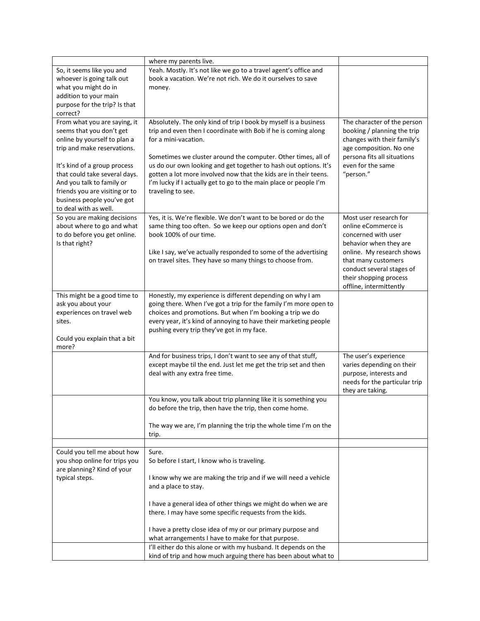|                                                                                                                                                                                                                                                                                                                | where my parents live.                                                                                                                                                                                                                                                                                                                                                                                                                                        |                                                                                                                                                                                                                                      |
|----------------------------------------------------------------------------------------------------------------------------------------------------------------------------------------------------------------------------------------------------------------------------------------------------------------|---------------------------------------------------------------------------------------------------------------------------------------------------------------------------------------------------------------------------------------------------------------------------------------------------------------------------------------------------------------------------------------------------------------------------------------------------------------|--------------------------------------------------------------------------------------------------------------------------------------------------------------------------------------------------------------------------------------|
| So, it seems like you and<br>whoever is going talk out<br>what you might do in<br>addition to your main<br>purpose for the trip? Is that<br>correct?                                                                                                                                                           | Yeah. Mostly. It's not like we go to a travel agent's office and<br>book a vacation. We're not rich. We do it ourselves to save<br>money.                                                                                                                                                                                                                                                                                                                     |                                                                                                                                                                                                                                      |
| From what you are saying, it<br>seems that you don't get<br>online by yourself to plan a<br>trip and make reservations.<br>It's kind of a group process<br>that could take several days.<br>And you talk to family or<br>friends you are visiting or to<br>business people you've got<br>to deal with as well. | Absolutely. The only kind of trip I book by myself is a business<br>trip and even then I coordinate with Bob if he is coming along<br>for a mini-vacation.<br>Sometimes we cluster around the computer. Other times, all of<br>us do our own looking and get together to hash out options. It's<br>gotten a lot more involved now that the kids are in their teens.<br>I'm lucky if I actually get to go to the main place or people I'm<br>traveling to see. | The character of the person<br>booking / planning the trip<br>changes with their family's<br>age composition. No one<br>persona fits all situations<br>even for the same<br>"person."                                                |
| So you are making decisions<br>about where to go and what<br>to do before you get online.<br>Is that right?                                                                                                                                                                                                    | Yes, it is. We're flexible. We don't want to be bored or do the<br>same thing too often. So we keep our options open and don't<br>book 100% of our time.<br>Like I say, we've actually responded to some of the advertising<br>on travel sites. They have so many things to choose from.                                                                                                                                                                      | Most user research for<br>online eCommerce is<br>concerned with user<br>behavior when they are<br>online. My research shows<br>that many customers<br>conduct several stages of<br>their shopping process<br>offline, intermittently |
| This might be a good time to<br>ask you about your<br>experiences on travel web<br>sites.<br>Could you explain that a bit<br>more?                                                                                                                                                                             | Honestly, my experience is different depending on why I am<br>going there. When I've got a trip for the family I'm more open to<br>choices and promotions. But when I'm booking a trip we do<br>every year, it's kind of annoying to have their marketing people<br>pushing every trip they've got in my face.                                                                                                                                                |                                                                                                                                                                                                                                      |
|                                                                                                                                                                                                                                                                                                                | And for business trips, I don't want to see any of that stuff,<br>except maybe til the end. Just let me get the trip set and then<br>deal with any extra free time.                                                                                                                                                                                                                                                                                           | The user's experience<br>varies depending on their<br>purpose, interests and<br>needs for the particular trip<br>they are taking.                                                                                                    |
|                                                                                                                                                                                                                                                                                                                | You know, you talk about trip planning like it is something you<br>do before the trip, then have the trip, then come home.                                                                                                                                                                                                                                                                                                                                    |                                                                                                                                                                                                                                      |
|                                                                                                                                                                                                                                                                                                                | The way we are, I'm planning the trip the whole time I'm on the<br>trip.                                                                                                                                                                                                                                                                                                                                                                                      |                                                                                                                                                                                                                                      |
| Could you tell me about how<br>you shop online for trips you<br>are planning? Kind of your<br>typical steps.                                                                                                                                                                                                   | Sure.<br>So before I start, I know who is traveling.<br>I know why we are making the trip and if we will need a vehicle<br>and a place to stay.                                                                                                                                                                                                                                                                                                               |                                                                                                                                                                                                                                      |
|                                                                                                                                                                                                                                                                                                                | I have a general idea of other things we might do when we are<br>there. I may have some specific requests from the kids.<br>I have a pretty close idea of my or our primary purpose and                                                                                                                                                                                                                                                                       |                                                                                                                                                                                                                                      |
|                                                                                                                                                                                                                                                                                                                | what arrangements I have to make for that purpose.<br>I'll either do this alone or with my husband. It depends on the<br>kind of trip and how much arguing there has been about what to                                                                                                                                                                                                                                                                       |                                                                                                                                                                                                                                      |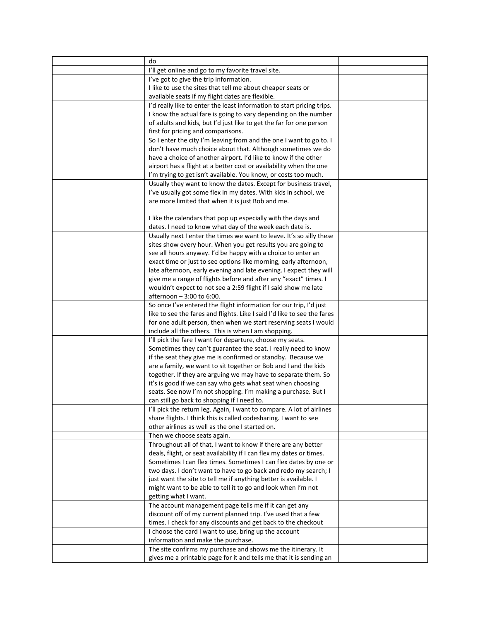| do                                                                       |  |
|--------------------------------------------------------------------------|--|
| I'll get online and go to my favorite travel site.                       |  |
| I've got to give the trip information.                                   |  |
| I like to use the sites that tell me about cheaper seats or              |  |
| available seats if my flight dates are flexible.                         |  |
| I'd really like to enter the least information to start pricing trips.   |  |
| I know the actual fare is going to vary depending on the number          |  |
| of adults and kids, but I'd just like to get the far for one person      |  |
| first for pricing and comparisons.                                       |  |
| So I enter the city I'm leaving from and the one I want to go to. I      |  |
| don't have much choice about that. Although sometimes we do              |  |
| have a choice of another airport. I'd like to know if the other          |  |
| airport has a flight at a better cost or availability when the one       |  |
| I'm trying to get isn't available. You know, or costs too much.          |  |
| Usually they want to know the dates. Except for business travel,         |  |
| I've usually got some flex in my dates. With kids in school, we          |  |
| are more limited that when it is just Bob and me.                        |  |
|                                                                          |  |
| I like the calendars that pop up especially with the days and            |  |
| dates. I need to know what day of the week each date is.                 |  |
| Usually next I enter the times we want to leave. It's so silly these     |  |
| sites show every hour. When you get results you are going to             |  |
| see all hours anyway. I'd be happy with a choice to enter an             |  |
| exact time or just to see options like morning, early afternoon,         |  |
| late afternoon, early evening and late evening. I expect they will       |  |
| give me a range of flights before and after any "exact" times. I         |  |
| wouldn't expect to not see a 2:59 flight if I said show me late          |  |
| afternoon - 3:00 to 6:00.                                                |  |
| So once I've entered the flight information for our trip, I'd just       |  |
| like to see the fares and flights. Like I said I'd like to see the fares |  |
| for one adult person, then when we start reserving seats I would         |  |
| include all the others. This is when I am shopping.                      |  |
| I'll pick the fare I want for departure, choose my seats.                |  |
| Sometimes they can't guarantee the seat. I really need to know           |  |
| if the seat they give me is confirmed or standby. Because we             |  |
| are a family, we want to sit together or Bob and I and the kids          |  |
| together. If they are arguing we may have to separate them. So           |  |
| it's is good if we can say who gets what seat when choosing              |  |
| seats. See now I'm not shopping. I'm making a purchase. But I            |  |
| can still go back to shopping if I need to.                              |  |
| I'll pick the return leg. Again, I want to compare. A lot of airlines    |  |
| share flights. I think this is called codesharing. I want to see         |  |
| other airlines as well as the one I started on.                          |  |
| Then we choose seats again.                                              |  |
| Throughout all of that, I want to know if there are any better           |  |
| deals, flight, or seat availability if I can flex my dates or times.     |  |
| Sometimes I can flex times. Sometimes I can flex dates by one or         |  |
| two days. I don't want to have to go back and redo my search; I          |  |
| just want the site to tell me if anything better is available. I         |  |
| might want to be able to tell it to go and look when I'm not             |  |
| getting what I want.                                                     |  |
| The account management page tells me if it can get any                   |  |
| discount off of my current planned trip. I've used that a few            |  |
| times. I check for any discounts and get back to the checkout            |  |
| I choose the card I want to use, bring up the account                    |  |
| information and make the purchase.                                       |  |
| The site confirms my purchase and shows me the itinerary. It             |  |
| gives me a printable page for it and tells me that it is sending an      |  |